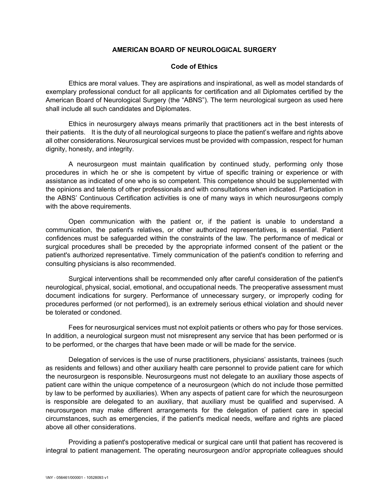## **AMERICAN BOARD OF NEUROLOGICAL SURGERY**

## **Code of Ethics**

Ethics are moral values. They are aspirations and inspirational, as well as model standards of exemplary professional conduct for all applicants for certification and all Diplomates certified by the American Board of Neurological Surgery (the "ABNS"). The term neurological surgeon as used here shall include all such candidates and Diplomates.

Ethics in neurosurgery always means primarily that practitioners act in the best interests of their patients. It is the duty of all neurological surgeons to place the patient's welfare and rights above all other considerations. Neurosurgical services must be provided with compassion, respect for human dignity, honesty, and integrity.

A neurosurgeon must maintain qualification by continued study, performing only those procedures in which he or she is competent by virtue of specific training or experience or with assistance as indicated of one who is so competent. This competence should be supplemented with the opinions and talents of other professionals and with consultations when indicated. Participation in the ABNS' Continuous Certification activities is one of many ways in which neurosurgeons comply with the above requirements.

Open communication with the patient or, if the patient is unable to understand a communication, the patient's relatives, or other authorized representatives, is essential. Patient confidences must be safeguarded within the constraints of the law. The performance of medical or surgical procedures shall be preceded by the appropriate informed consent of the patient or the patient's authorized representative. Timely communication of the patient's condition to referring and consulting physicians is also recommended.

Surgical interventions shall be recommended only after careful consideration of the patient's neurological, physical, social, emotional, and occupational needs. The preoperative assessment must document indications for surgery. Performance of unnecessary surgery, or improperly coding for procedures performed (or not performed), is an extremely serious ethical violation and should never be tolerated or condoned.

Fees for neurosurgical services must not exploit patients or others who pay for those services. In addition, a neurological surgeon must not misrepresent any service that has been performed or is to be performed, or the charges that have been made or will be made for the service.

Delegation of services is the use of nurse practitioners, physicians' assistants, trainees (such as residents and fellows) and other auxiliary health care personnel to provide patient care for which the neurosurgeon is responsible. Neurosurgeons must not delegate to an auxiliary those aspects of patient care within the unique competence of a neurosurgeon (which do not include those permitted by law to be performed by auxiliaries). When any aspects of patient care for which the neurosurgeon is responsible are delegated to an auxiliary, that auxiliary must be qualified and supervised. A neurosurgeon may make different arrangements for the delegation of patient care in special circumstances, such as emergencies, if the patient's medical needs, welfare and rights are placed above all other considerations.

Providing a patient's postoperative medical or surgical care until that patient has recovered is integral to patient management. The operating neurosurgeon and/or appropriate colleagues should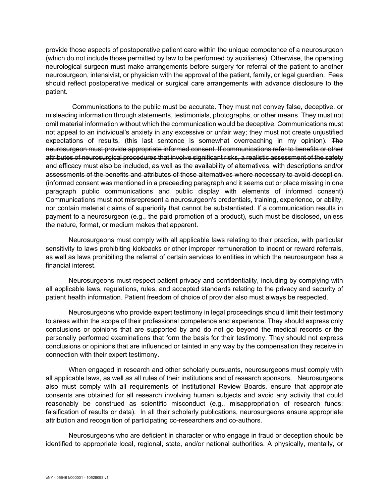provide those aspects of postoperative patient care within the unique competence of a neurosurgeon (which do not include those permitted by law to be performed by auxiliaries). Otherwise, the operating neurological surgeon must make arrangements before surgery for referral of the patient to another neurosurgeon, intensivist, or physician with the approval of the patient, family, or legal guardian. Fees should reflect postoperative medical or surgical care arrangements with advance disclosure to the patient.

Communications to the public must be accurate. They must not convey false, deceptive, or misleading information through statements, testimonials, photographs, or other means. They must not omit material information without which the communication would be deceptive. Communications must not appeal to an individual's anxiety in any excessive or unfair way; they must not create unjustified expectations of results. (this last sentence is somewhat overreaching in my opinion). The neurosurgeon must provide appropriate informed consent. If communications refer to benefits or other attributes of neurosurgical procedures that involve significant risks, a realistic assessment of the safety and efficacy must also be included, as well as the availability of alternatives, with descriptions and/or assessments of the benefits and attributes of those alternatives where necessary to avoid deception. (informed consent was mentioned in a preceeding paragraph and it seems out or place missing in one paragraph public communications and public display with elements of informed consent) Communications must not misrepresent a neurosurgeon's credentials, training, experience, or ability, nor contain material claims of superiority that cannot be substantiated. If a communication results in payment to a neurosurgeon (e.g., the paid promotion of a product), such must be disclosed, unless the nature, format, or medium makes that apparent.

Neurosurgeons must comply with all applicable laws relating to their practice, with particular sensitivity to laws prohibiting kickbacks or other improper remuneration to incent or reward referrals, as well as laws prohibiting the referral of certain services to entities in which the neurosurgeon has a financial interest.

Neurosurgeons must respect patient privacy and confidentiality, including by complying with all applicable laws, regulations, rules, and accepted standards relating to the privacy and security of patient health information. Patient freedom of choice of provider also must always be respected.

Neurosurgeons who provide expert testimony in legal proceedings should limit their testimony to areas within the scope of their professional competence and experience. They should express only conclusions or opinions that are supported by and do not go beyond the medical records or the personally performed examinations that form the basis for their testimony. They should not express conclusions or opinions that are influenced or tainted in any way by the compensation they receive in connection with their expert testimony.

When engaged in research and other scholarly pursuants, neurosurgeons must comply with all applicable laws, as well as all rules of their institutions and of research sponsors, Neurosurgeons also must comply with all requirements of Institutional Review Boards, ensure that appropriate consents are obtained for all research involving human subjects and avoid any activity that could reasonably be construed as scientific misconduct (e.g., misappropriation of research funds; falsification of results or data). In all their scholarly publications, neurosurgeons ensure appropriate attribution and recognition of participating co-researchers and co-authors.

Neurosurgeons who are deficient in character or who engage in fraud or deception should be identified to appropriate local, regional, state, and/or national authorities. A physically, mentally, or